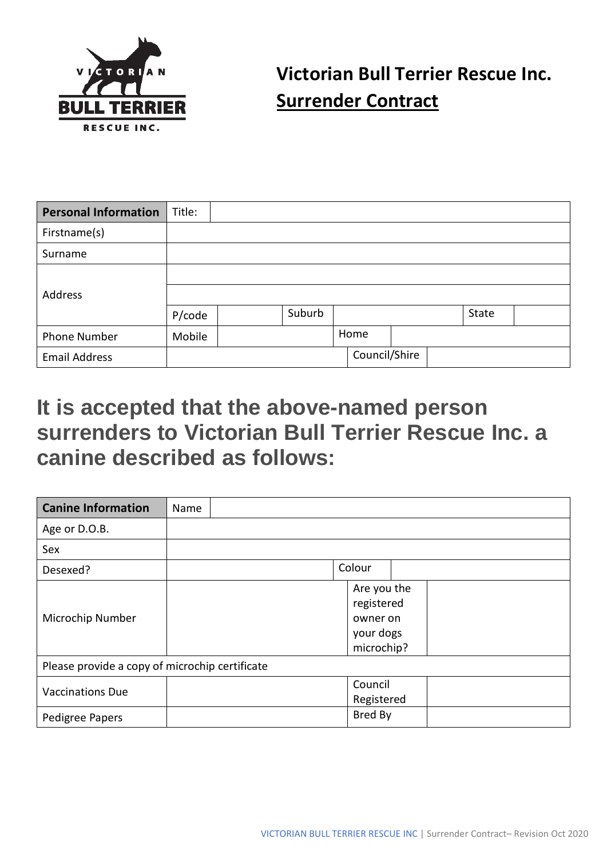

## **Victorian Bull Terrier Rescue Inc. Surrender Contract**

| <b>Personal Information</b> | Title: |        |               |  |       |  |
|-----------------------------|--------|--------|---------------|--|-------|--|
| Firstname(s)                |        |        |               |  |       |  |
| Surname                     |        |        |               |  |       |  |
|                             |        |        |               |  |       |  |
| Address                     |        |        |               |  |       |  |
|                             | P/code | Suburb |               |  | State |  |
| <b>Phone Number</b>         | Mobile |        | Home          |  |       |  |
| <b>Email Address</b>        |        |        | Council/Shire |  |       |  |

## **It is accepted that the above-named person surrenders to Victorian Bull Terrier Rescue Inc. a canine described as follows:**

| <b>Canine Information</b>                      | Name                                                             |
|------------------------------------------------|------------------------------------------------------------------|
| Age or D.O.B.                                  |                                                                  |
| Sex                                            |                                                                  |
| Desexed?                                       | Colour                                                           |
| Microchip Number                               | Are you the<br>registered<br>owner on<br>your dogs<br>microchip? |
| Please provide a copy of microchip certificate |                                                                  |
| <b>Vaccinations Due</b>                        | Council<br>Registered                                            |
| Pedigree Papers                                | Bred By                                                          |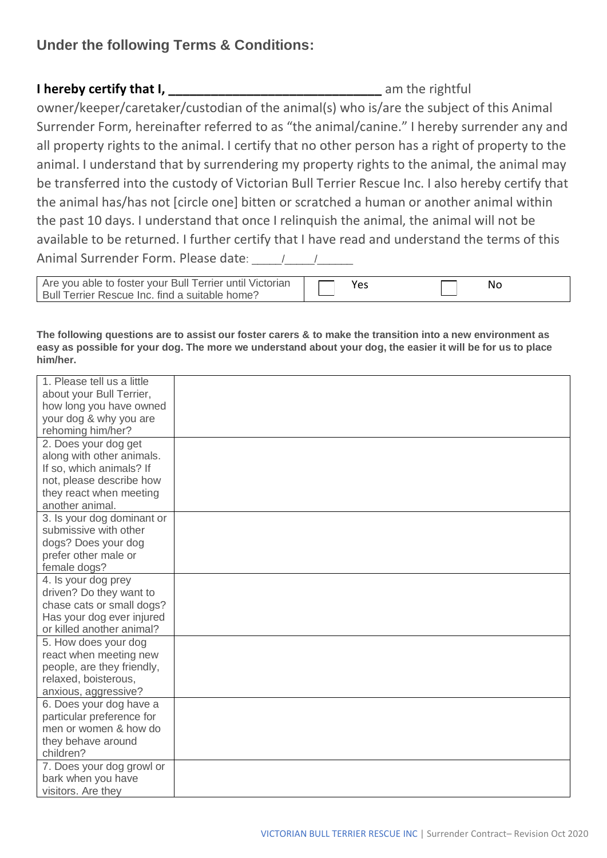## **Under the following Terms & Conditions:**

**I hereby certify that I, \_\_\_\_\_\_\_\_\_\_\_\_\_\_\_\_\_\_\_\_\_\_\_\_\_\_\_\_\_\_** am the rightful owner/keeper/caretaker/custodian of the animal(s) who is/are the subject of this Animal Surrender Form, hereinafter referred to as "the animal/canine." I hereby surrender any and all property rights to the animal. I certify that no other person has a right of property to the animal. I understand that by surrendering my property rights to the animal, the animal may be transferred into the custody of Victorian Bull Terrier Rescue Inc. I also hereby certify that the animal has/has not [circle one] bitten or scratched a human or another animal within the past 10 days. I understand that once I relinquish the animal, the animal will not be available to be returned. I further certify that I have read and understand the terms of this Animal Surrender Form. Please date: \_\_\_\_\_/\_\_\_\_\_/\_\_\_\_\_\_

| Are you able to foster your Bull Terrier until Victorian | Νo |  |
|----------------------------------------------------------|----|--|
| Bull Terrier Rescue Inc. find a suitable home?           |    |  |

**The following questions are to assist our foster carers & to make the transition into a new environment as easy as possible for your dog. The more we understand about your dog, the easier it will be for us to place him/her.**

| 1. Please tell us a little |  |
|----------------------------|--|
| about your Bull Terrier,   |  |
| how long you have owned    |  |
| your dog & why you are     |  |
| rehoming him/her?          |  |
| 2. Does your dog get       |  |
| along with other animals.  |  |
| If so, which animals? If   |  |
| not, please describe how   |  |
| they react when meeting    |  |
| another animal.            |  |
| 3. Is your dog dominant or |  |
| submissive with other      |  |
| dogs? Does your dog        |  |
| prefer other male or       |  |
| female dogs?               |  |
| 4. Is your dog prey        |  |
| driven? Do they want to    |  |
| chase cats or small dogs?  |  |
| Has your dog ever injured  |  |
| or killed another animal?  |  |
| 5. How does your dog       |  |
| react when meeting new     |  |
| people, are they friendly, |  |
| relaxed, boisterous,       |  |
| anxious, aggressive?       |  |
| 6. Does your dog have a    |  |
| particular preference for  |  |
| men or women & how do      |  |
| they behave around         |  |
| children?                  |  |
| 7. Does your dog growl or  |  |
| bark when you have         |  |
| visitors. Are they         |  |